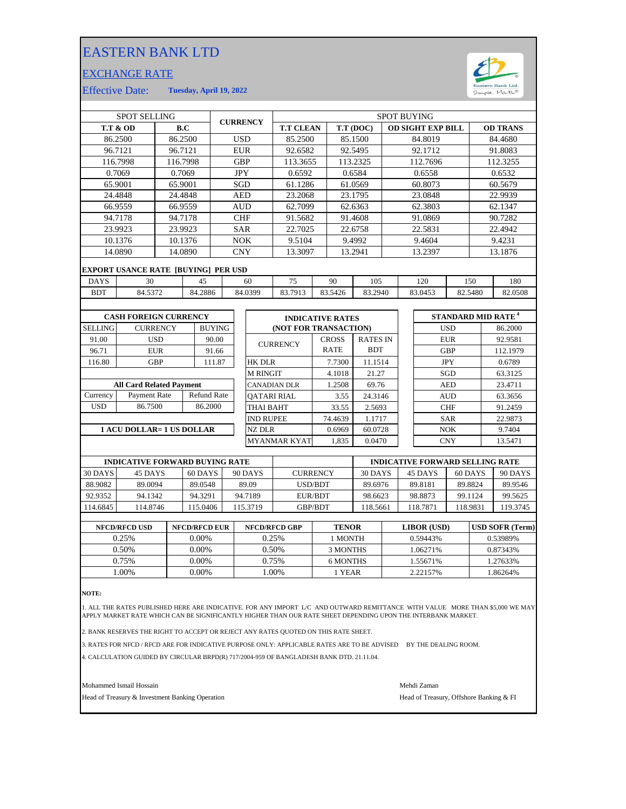## EASTERN BANK LTD

## EXCHANGE RATE



Effective Date: **Tuesday, April 19, 2022**

| SPOT SELLING                          |                                            |            |          | <b>CURRENCY</b>    |                  | <b>SPOT BUYING</b> |                         |                                        |           |                       |                          |                    |                    |                 |          |                                      |  |
|---------------------------------------|--------------------------------------------|------------|----------|--------------------|------------------|--------------------|-------------------------|----------------------------------------|-----------|-----------------------|--------------------------|--------------------|--------------------|-----------------|----------|--------------------------------------|--|
| <b>T.T &amp; OD</b>                   | B.C                                        |            |          |                    |                  | <b>T.T CLEAN</b>   |                         |                                        | T.T (DOC) |                       | <b>OD SIGHT EXP BILL</b> |                    |                    | <b>OD TRANS</b> |          |                                      |  |
| 86.2500                               |                                            |            | 86.2500  |                    | <b>USD</b>       |                    |                         | 85.2500                                |           |                       | 85.1500                  |                    | 84.8019            |                 |          | 84.4680                              |  |
|                                       | 96.7121                                    | 96.7121    |          |                    |                  | <b>EUR</b>         |                         | 92.6582                                |           |                       | 92.5495                  |                    | 92.1712            |                 |          | 91.8083                              |  |
|                                       | 116.7998                                   |            | 116.7998 |                    | <b>GBP</b>       |                    | 113.3655                |                                        |           | 113.2325              |                          | 112.7696           |                    |                 | 112.3255 |                                      |  |
|                                       | 0.7069                                     |            | 0.7069   |                    | <b>JPY</b>       |                    | 0.6592                  |                                        |           | 0.6584                |                          | 0.6558             |                    |                 | 0.6532   |                                      |  |
|                                       | 65.9001                                    |            | 65.9001  |                    |                  | SGD                |                         | 61.1286                                |           |                       | 61.0569                  |                    | 60.8073            |                 |          | 60.5679                              |  |
|                                       | 24.4848                                    | 24.4848    |          |                    | <b>AED</b>       |                    | 23.2068                 |                                        | 23.1795   |                       | 23.0848                  |                    |                    | 22.9939         |          |                                      |  |
|                                       | 66.9559                                    | 66.9559    |          |                    | <b>AUD</b>       |                    | 62.7099                 |                                        | 62.6363   |                       |                          | 62.3803            |                    |                 | 62.1347  |                                      |  |
|                                       | 94.7178                                    |            | 94.7178  |                    | <b>CHF</b>       |                    | 91.5682                 |                                        |           | 91.4608               |                          | 91.0869            |                    |                 | 90.7282  |                                      |  |
| 23.9923                               |                                            | 23.9923    |          |                    | <b>SAR</b>       |                    | 22.7025                 |                                        |           | 22.6758               |                          | 22.5831            |                    |                 | 22.4942  |                                      |  |
|                                       | 10.1376                                    | 10.1376    |          |                    | <b>NOK</b>       |                    | 9.5104                  | 9.4992                                 |           |                       |                          |                    | 9.4604             |                 | 9.4231   |                                      |  |
|                                       | 14.0890                                    |            | 14.0890  |                    |                  | <b>CNY</b>         |                         | 13.3097                                |           |                       | 13.2941                  | 13.2397            |                    |                 | 13.1876  |                                      |  |
|                                       | <b>EXPORT USANCE RATE [BUYING] PER USD</b> |            |          |                    |                  |                    |                         |                                        |           |                       |                          |                    |                    |                 |          |                                      |  |
| <b>DAYS</b>                           | 30                                         |            |          | 45                 | 60               |                    |                         | 75                                     | 90        |                       | 105                      | 120                |                    | 150             |          | 180                                  |  |
| <b>BDT</b>                            | 84.5372                                    |            | 84.2886  |                    | 84.0399          |                    |                         | 83.7913                                |           | 83.5426               | 83.2940                  |                    | 83.0453<br>82.5480 |                 |          | 82.0508                              |  |
|                                       |                                            |            |          |                    |                  |                    |                         |                                        |           |                       |                          |                    |                    |                 |          |                                      |  |
| <b>CASH FOREIGN CURRENCY</b>          |                                            |            |          |                    |                  |                    | <b>INDICATIVE RATES</b> |                                        |           |                       |                          |                    |                    |                 |          | <b>STANDARD MID RATE<sup>4</sup></b> |  |
| <b>SELLING</b><br><b>CURRENCY</b>     |                                            |            |          | <b>BUYING</b>      |                  |                    |                         |                                        |           | (NOT FOR TRANSACTION) |                          |                    |                    | <b>USD</b>      |          | 86.2000                              |  |
| 91.00                                 | <b>USD</b>                                 |            | 90.00    |                    |                  |                    |                         |                                        |           | <b>CROSS</b>          | <b>RATES IN</b>          |                    |                    | ${\rm EUR}$     |          | 92.9581                              |  |
| 96.71                                 | <b>EUR</b>                                 |            |          | 91.66              |                  |                    | <b>CURRENCY</b>         |                                        |           | <b>RATE</b>           | <b>BDT</b>               |                    |                    | <b>GBP</b>      |          | 112.1979                             |  |
| 116.80                                |                                            | <b>GBP</b> |          | 111.87             |                  | <b>HK DLR</b>      |                         |                                        |           | 7.7300                | 11.1514                  |                    |                    | <b>JPY</b>      |          | 0.6789                               |  |
|                                       |                                            |            |          |                    |                  |                    | <b>M RINGIT</b>         |                                        |           | 4.1018                | 21.27                    |                    | SGD                |                 |          | 63.3125                              |  |
| <b>All Card Related Payment</b>       |                                            |            |          |                    |                  |                    |                         | CANADIAN DLR                           |           | 1.2508                | 69.76                    |                    | <b>AED</b>         |                 |          | 23.4711                              |  |
| Payment Rate<br>Currency              |                                            |            |          | <b>Refund Rate</b> |                  |                    |                         | <b>OATARI RIAL</b>                     |           | 3.55                  | 24.3146                  |                    |                    | <b>AUD</b>      |          | 63.3656                              |  |
| <b>USD</b>                            | 86.7500                                    | 86.2000    |          |                    | <b>THAI BAHT</b> |                    |                         |                                        |           | 33.55                 | 2.5693                   |                    | <b>CHF</b>         |                 | 91.2459  |                                      |  |
|                                       |                                            |            |          |                    |                  |                    | <b>IND RUPEE</b>        |                                        |           | 74.4639               | 1.1717                   |                    | <b>SAR</b>         |                 |          | 22.9873                              |  |
| <b>1 ACU DOLLAR= 1 US DOLLAR</b>      |                                            |            |          |                    |                  |                    | <b>NZ DLR</b>           |                                        |           | 0.6969                | 60.0728                  |                    |                    | NOK             |          | 9.7404                               |  |
|                                       |                                            |            |          |                    |                  |                    | <b>MYANMAR KYAT</b>     |                                        |           | 1.835                 | 0.0470                   |                    |                    | <b>CNY</b>      |          | 13.5471                              |  |
|                                       |                                            |            |          |                    |                  |                    |                         |                                        |           |                       |                          |                    |                    |                 |          |                                      |  |
| <b>INDICATIVE FORWARD BUYING RATE</b> |                                            |            |          |                    |                  |                    |                         | <b>INDICATIVE FORWARD SELLING RATE</b> |           |                       |                          |                    |                    |                 |          |                                      |  |
| 30 DAYS                               | 45 DAYS                                    |            |          | 60 DAYS            | 90 DAYS          |                    | <b>CURRENCY</b>         |                                        |           | 30 DAYS               |                          | 45 DAYS<br>60 DAYS |                    |                 | 90 DAYS  |                                      |  |
| 88.9082                               | 89.0094                                    |            | 89.0548  |                    | 89.09            |                    |                         | USD/BDT                                |           | 89.6976               |                          | 89.8181<br>89.8824 |                    |                 | 89.9546  |                                      |  |

| <b>NFCD/RFCD USD</b> | <b>NFCD/RFCD EUR</b> | <b>NFCD/RFCD GBP</b> | <b>TENOR</b> | <b>LIBOR</b> (USD) | <b>USD SOFR (Term)</b> |
|----------------------|----------------------|----------------------|--------------|--------------------|------------------------|
| 0.25%                | $0.00\%$             | 0.25%                | I MONTH      | 0.59443%           | 0.53989%               |
| 0.50%                | $0.00\%$             | 0.50%                | 3 MONTHS     | 1.06271%           | 0.87343%               |
| 0.75%                | $0.00\%$             | 0.75%                | 6 MONTHS     | 1.55671%           | 1.27633%               |
| .00%                 | $0.00\%$             | .00%                 | 1 YEAR       | 2.22157%           | 1.86264%               |

**NOTE:**

92.9352

1. ALL THE RATES PUBLISHED HERE ARE INDICATIVE. FOR ANY IMPORT L/C AND OUTWARD REMITTANCE WITH VALUE MORE THAN \$5,000 WE MAY APPLY MARKET RATE WHICH CAN BE SIGNIFICANTLY HIGHER THAN OUR RATE SHEET DEPENDING UPON THE INTERBANK MARKET.

2. BANK RESERVES THE RIGHT TO ACCEPT OR REJECT ANY RATES QUOTED ON THIS RATE SHEET.

115.3719

114.6845 114.8746 115.0406 115.3719 GBP/BDT

115.0406

94.3291 94.7189

3. RATES FOR NFCD / RFCD ARE FOR INDICATIVE PURPOSE ONLY: APPLICABLE RATES ARE TO BE ADVISED BY THE DEALING ROOM.

4. CALCULATION GUIDED BY CIRCULAR BRPD(R) 717/2004-959 OF BANGLADESH BANK DTD. 21.11.04.

Mohammed Ismail Hossain Mehdi Zaman

Head of Treasury & Investment Banking Operation **Head of Treasury, Offshore Banking & FI** 

94.1342

114.8746

118.9831

119.3745

98.6623 98.8873

118.5661 118.7871

EUR/BDT 98.6623 98.8873 99.1124 99.5625